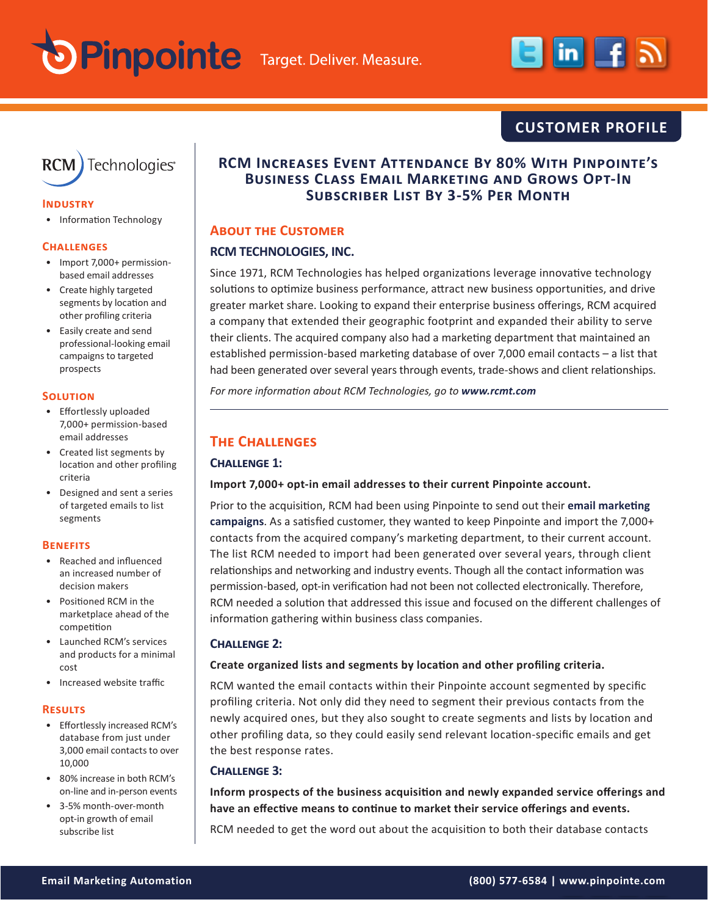



# **CUSTOMER PROFILE**



#### **Industry**

• Information Technology

#### **Challenges**

- Import 7,000+ permissionbased email addresses
- Create highly targeted segments by location and other profiling criteria
- Easily create and send professional-looking email campaigns to targeted prospects

#### **Solution**

- Effortlessly uploaded 7,000+ permission-based email addresses
- Created list segments by location and other profiling criteria
- Designed and sent a series of targeted emails to list segments

#### **Benefits**

- Reached and influenced an increased number of decision makers
- Positioned RCM in the marketplace ahead of the competition
- Launched RCM's services and products for a minimal cost
- Increased website traffic

#### **Results**

- Effortlessly increased RCM's database from just under 3,000 email contacts to over 10,000
- 80% increase in both RCM's on-line and in-person events
- 3-5% month-over-month opt-in growth of email subscribe list

# **RCM Increases Event Attendance By 80% With Pinpointe's Business Class Email Marketing and Grows Opt-In Subscriber List By 3-5% Per Month**

## **About the Customer**

# **RCM TECHNOLOGIES, INC.**

Since 1971, RCM Technologies has helped organizations leverage innovative technology solutions to optimize business performance, attract new business opportunities, and drive greater market share. Looking to expand their enterprise business offerings, RCM acquired a company that extended their geographic footprint and expanded their ability to serve their clients. The acquired company also had a marketing department that maintained an established permission-based marketing database of over 7,000 email contacts – a list that had been generated over several years through events, trade-shows and client relationships.

*For more information about RCM Technologies, go to [www.rcmt.com](http://www.rcmt.com)*

# **The Challenges**

# **Challenge 1:**

#### **Import 7,000+ opt-in email addresses to their current Pinpointe account.**

Prior to the acquisition, RCM had been using Pinpointe to send out their **[email marketing](http://www.pinpointe.com/)  [campaigns](http://www.pinpointe.com/)**. As a satisfied customer, they wanted to keep Pinpointe and import the 7,000+ contacts from the acquired company's marketing department, to their current account. The list RCM needed to import had been generated over several years, through client relationships and networking and industry events. Though all the contact information was permission-based, opt-in verification had not been not collected electronically. Therefore, RCM needed a solution that addressed this issue and focused on the different challenges of information gathering within business class companies.

#### **Challenge 2:**

#### **Create organized lists and segments by location and other profiling criteria.**

RCM wanted the email contacts within their Pinpointe account segmented by specific profiling criteria. Not only did they need to segment their previous contacts from the newly acquired ones, but they also sought to create segments and lists by location and other profiling data, so they could easily send relevant location-specific emails and get the best response rates.

#### **Challenge 3:**

**Inform prospects of the business acquisition and newly expanded service offerings and have an effective means to continue to market their service offerings and events.**

RCM needed to get the word out about the acquisition to both their database contacts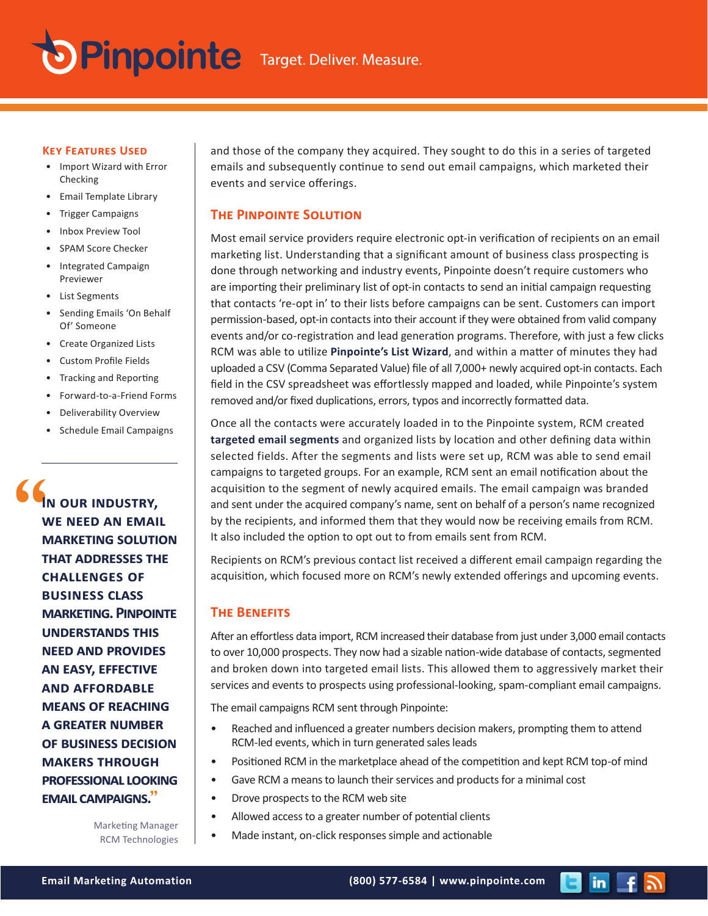

#### **Key Features Used**

- Import Wizard with Error Checking
- Email Template Library
- Trigger Campaigns
- Inbox Preview Tool
- SPAM Score Checker
- Integrated Campaign Previewer
- List Segments
- Sending Emails 'On Behalf Of' Someone
- Create Organized Lists
- Custom Profile Fields
- Tracking and Reporting
- Forward-to-a-Friend Forms
- Deliverability Overview
- Schedule Email Campaigns

**In our industry, we need an email marketing solution that addresses the challenges of business class marketing. Pinpointe understands this need and provides an easy, effective and affordable means of reaching a greater number of business decision makers through professional looking email campaigns.**"

and those of the company they acquired. They sought to do this in a series of targeted emails and subsequently continue to send out email campaigns, which marketed their events and service offerings.

#### **The Pinpointe Solution**

Most email service providers require electronic opt-in verification of recipients on an email marketing list. Understanding that a significant amount of business class prospecting is done through networking and industry events, Pinpointe doesn't require customers who are importing their preliminary list of opt-in contacts to send an initial campaign requesting that contacts 're-opt in' to their lists before campaigns can be sent. Customers can import permission-based, opt-in contacts into their account if they were obtained from valid company events and/or co-registration and lead generation programs. Therefore, with just a few clicks RCM was able to utilize **[Pinpointe's List Wizard](http://www.pinpointe.com/products/product-tour/import-export-prospects)**, and within a matter of minutes they had uploaded a CSV (Comma Separated Value) file of all 7,000+ newly acquired opt-in contacts. Each field in the CSV spreadsheet was effortlessly mapped and loaded, while Pinpointe's system removed and/or fixed duplications, errors, typos and incorrectly formatted data.

Once all the contacts were accurately loaded in to the Pinpointe system, RCM created **[targeted email segments](http://www.pinpointe.com/products/product-tour/create-profile-segments)** and organized lists by location and other defining data within selected fields. After the segments and lists were set up, RCM was able to send email campaigns to targeted groups. For an example, RCM sent an email notification about the acquisition to the segment of newly acquired emails. The email campaign was branded and sent under the acquired company's name, sent on behalf of a person's name recognized by the recipients, and informed them that they would now be receiving emails from RCM. It also included the option to opt out to from emails sent from RCM.

Recipients on RCM's previous contact list received a different email campaign regarding the acquisition, which focused more on RCM's newly extended offerings and upcoming events.

## **The Benefits**

After an effortless data import, RCM increased their database from just under 3,000 email contacts to over 10,000 prospects. They now had a sizable nation-wide database of contacts, segmented and broken down into targeted email lists. This allowed them to aggressively market their services and events to prospects using professional-looking, spam-compliant email campaigns.

The email campaigns RCM sent through Pinpointe:

- Reached and influenced a greater numbers decision makers, prompting them to attend RCM-led events, which in turn generated sales leads
- Positioned RCM in the marketplace ahead of the competition and kept RCM top-of mind
- Gave RCM a means to launch their services and products for a minimal cost
- Drove prospects to the RCM web site
- Allowed access to a greater number of potential clients
- Made instant, on-click responses simple and actionable

Marketing Manager RCM Technologies

 $\mathsf{in}$